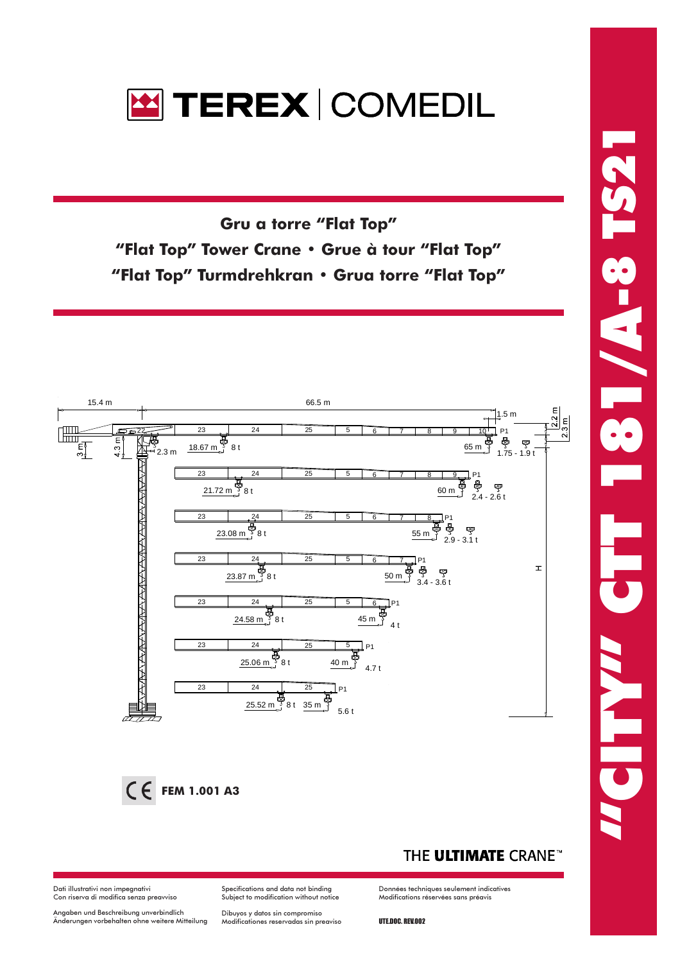

Gru a torre "Flat Top" **"Flat Top" Tower Crane • Grue à tour "Flat Top" "Flat Top" Turmdrehkran • Grua torre "Flat Top"** 



### THE ULTIMATE CRANE<sup>®</sup>

Données techniques seulement indicatives Modifications réservées sans préavis

Dati illustrativi non impegnativi Con riserva di modifica senza preavviso

Angaben und Beschreibung unverbindlich<br>Änderungen vorbehalten ohne weitere Mitteilung

Subject to modification without notice Dibuyos y datos sin compromiso<br>Modificationes reservadas sin preaviso

Specifications and data not binding

UTE.DOC. REV.002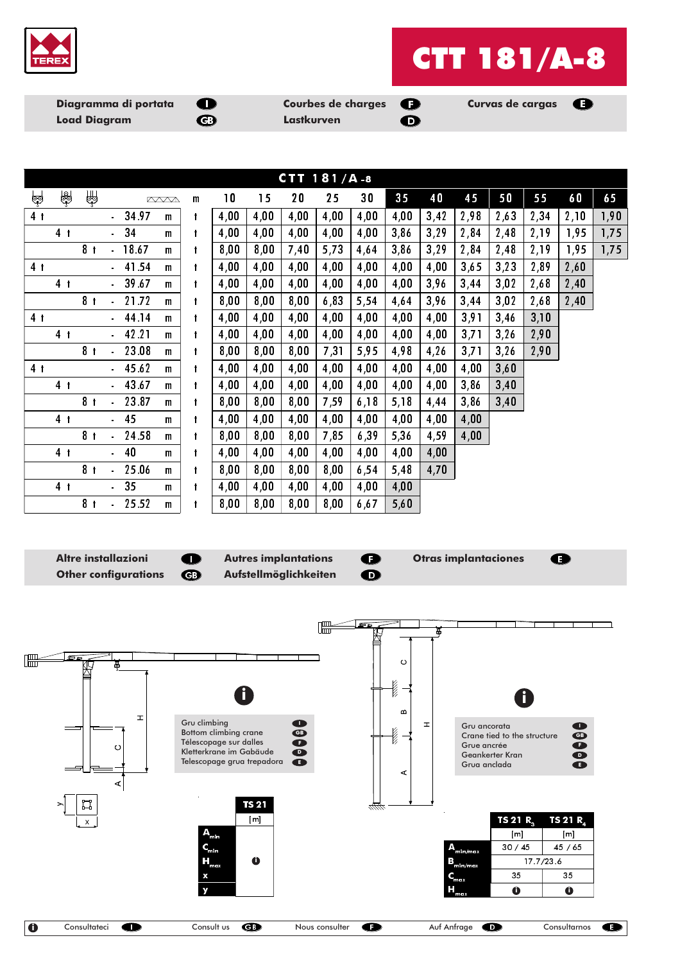

# **CTT 181/A-8**

Diagramma di portata **Load Diagram** 



**Courbes de charges Lastkurven** 



**Curvas de cargas** 

|                | CTT $181/A.8$  |                |                          |       |              |              |                          |      |      |       |       |      |      |      |      |      |      |      |
|----------------|----------------|----------------|--------------------------|-------|--------------|--------------|--------------------------|------|------|-------|-------|------|------|------|------|------|------|------|
| မ္ဘာ့          | $\frac{1}{2}$  | ₩              |                          |       | <b>AVVA</b>  | $\mathsf{m}$ | $\overline{\phantom{a}}$ | 15   | 20   | 25    | 30    | 35   | 40   | 45   | 50   | 55   | 60   | 65   |
| 4 <sub>t</sub> |                |                | $\blacksquare$           | 34.97 | $\mathbf{m}$ |              | 4,00                     | 4,00 | 4,00 | 4,00  | 4,00  | 4,00 | 3,42 | 2,98 | 2,63 | 2,34 | 2,10 | 1,90 |
|                | 4 <sub>1</sub> |                | $\omega_{\rm{eff}}$      | 34    | $\mathbf{m}$ |              | 4,00                     | 4,00 | 4,00 | 4,00  | 4,00  | 3,86 | 3,29 | 2,84 | 2,48 | 2,19 | 1,95 | 1,75 |
|                |                | 8 <sub>1</sub> |                          | 18.67 | $\mathbf{m}$ |              | 8,00                     | 8,00 | 7,40 | 5,73  | 4,64  | 3,86 | 3,29 | 2,84 | 2,48 | 2,19 | 1,95 | 1,75 |
| 4 <sub>1</sub> |                |                |                          | 41.54 | $\mathbf{m}$ |              | 4,00                     | 4,00 | 4,00 | 4,00  | 4,00  | 4,00 | 4,00 | 3,65 | 3,23 | 2,89 | 2,60 |      |
|                | 4 <sub>1</sub> |                | $\overline{\phantom{a}}$ | 39.67 | $\mathbf{m}$ |              | 4,00                     | 4,00 | 4,00 | 4,00  | 4,00  | 4,00 | 3,96 | 3,44 | 3,02 | 2,68 | 2,40 |      |
|                |                | 8 <sub>1</sub> |                          | 21.72 | $\mathbf{m}$ |              | 8,00                     | 8,00 | 8,00 | 6, 83 | 5,54  | 4,64 | 3,96 | 3,44 | 3,02 | 2,68 | 2,40 |      |
| 4 <sub>1</sub> |                |                |                          | 44.14 | $\mathbf{m}$ |              | 4,00                     | 4,00 | 4,00 | 4,00  | 4,00  | 4,00 | 4,00 | 3,91 | 3,46 | 3,10 |      |      |
|                | 4 <sub>1</sub> |                | $\mathbf{r}$             | 42.21 | $\mathbf{m}$ |              | 4,00                     | 4,00 | 4,00 | 4,00  | 4,00  | 4,00 | 4,00 | 3,71 | 3,26 | 2,90 |      |      |
|                |                | 8 <sub>1</sub> |                          | 23.08 | $\mathbf{m}$ |              | 8,00                     | 8,00 | 8,00 | 7,31  | 5,95  | 4,98 | 4,26 | 3,71 | 3,26 | 2,90 |      |      |
| 4 <sub>1</sub> |                |                |                          | 45.62 | $\mathbf{m}$ | t            | 4,00                     | 4,00 | 4,00 | 4,00  | 4,00  | 4,00 | 4,00 | 4,00 | 3,60 |      |      |      |
|                | 4 <sub>1</sub> |                | $\sim$                   | 43.67 | $\mathbf{m}$ |              | 4,00                     | 4,00 | 4,00 | 4,00  | 4,00  | 4,00 | 4,00 | 3,86 | 3,40 |      |      |      |
|                |                | 8 <sub>1</sub> |                          | 23.87 | $\mathbf{m}$ |              | 8,00                     | 8,00 | 8,00 | 7,59  | 6, 18 | 5,18 | 4,44 | 3,86 | 3,40 |      |      |      |
|                | 4 <sub>1</sub> |                | $\blacksquare$           | 45    | $\mathbf{m}$ | t            | 4,00                     | 4,00 | 4,00 | 4,00  | 4,00  | 4,00 | 4,00 | 4,00 |      |      |      |      |
|                |                | 8 <sub>1</sub> |                          | 24.58 | $\mathbf{m}$ |              | 8,00                     | 8,00 | 8,00 | 7,85  | 6, 39 | 5,36 | 4,59 | 4,00 |      |      |      |      |
|                | 4 <sub>1</sub> |                |                          | 40    | $\mathbf{m}$ |              | 4,00                     | 4,00 | 4,00 | 4,00  | 4,00  | 4,00 | 4,00 |      |      |      |      |      |
|                |                | 8 <sub>1</sub> |                          | 25.06 | m            |              | 8,00                     | 8,00 | 8,00 | 8,00  | 6,54  | 5,48 | 4,70 |      |      |      |      |      |
|                | 4 <sub>1</sub> |                | ä,                       | 35    | $\mathbf{m}$ |              | 4,00                     | 4,00 | 4,00 | 4,00  | 4,00  | 4,00 |      |      |      |      |      |      |
|                |                | 8 <sub>1</sub> |                          | 25.52 | $\mathbf{m}$ |              | 8,00                     | 8,00 | 8,00 | 8,00  | 6, 67 | 5,60 |      |      |      |      |      |      |

**Altre installazioni Other configurations** 

 $\blacksquare$  $\bigoplus$  **Autres implantations** Aufstellmöglichkeiten

 $\bullet$  $\mathbf \Omega$ 

**Otras implantaciones** 

 $\bullet$ 

 $\bullet$ 

**IF** Þ  $\boxed{\frac{1}{100}}$  $\circ$ **New York** Î  $\omega$  $\mathbf{I}$ Gru climbing<br>Bottom climbing crane<br>Télescopage sur dalles<br>Kletterkrane im Gabäude  $\blacksquare$ 00000  $\pm$ Gru ancorata **POOOO** l (l Crane tied to the structure Grue ancrée  $\circ$ Geankerter Kran Telescopage grua trepadora Grua anclada  $\prec$  $\vert$ **TS 21** H  $\overline{[m]}$ TS 21 R. TS 21 $R<sub>a</sub>$  $[m]$  $[m]$  $30/45$  $45/65$ A <sub>min/max</sub>  $B_{\text{min}/\text{max}}$  $\bullet$  $17.7/23.6$ **e.,** 35 35 т  $\bullet$  $\ddot{\mathbf{0}}$  $\overline{\mathbf{0}}$  $\overline{\mathbf{C}}$ Consultateci  $\bullet$ Consult us Nous consulter  $\bullet$ Auf Anfrage  $\bullet$ Consultarnos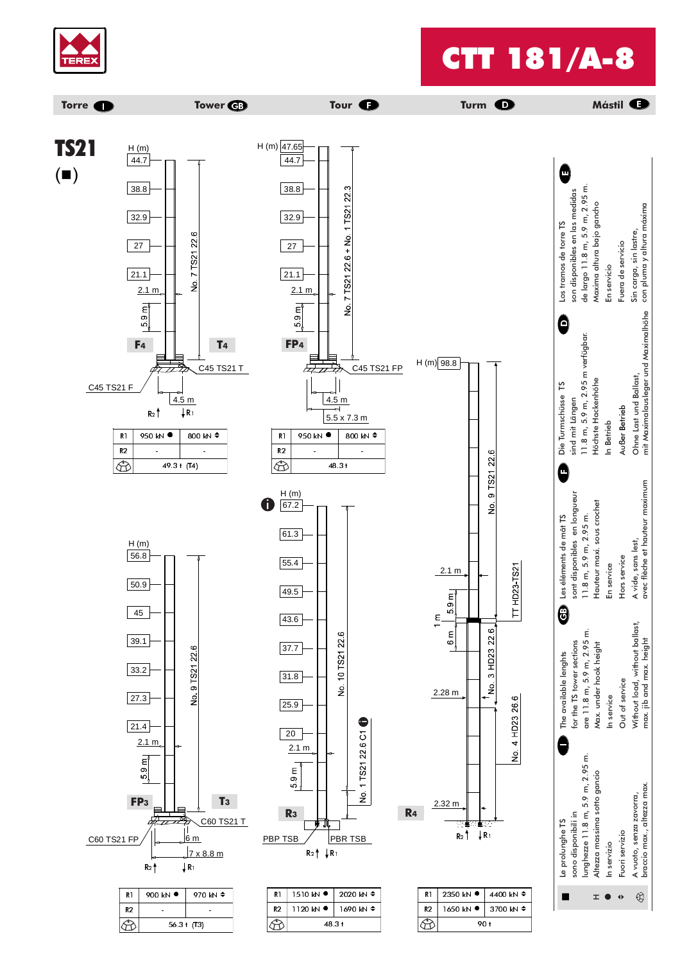

### CTT 181/A-8